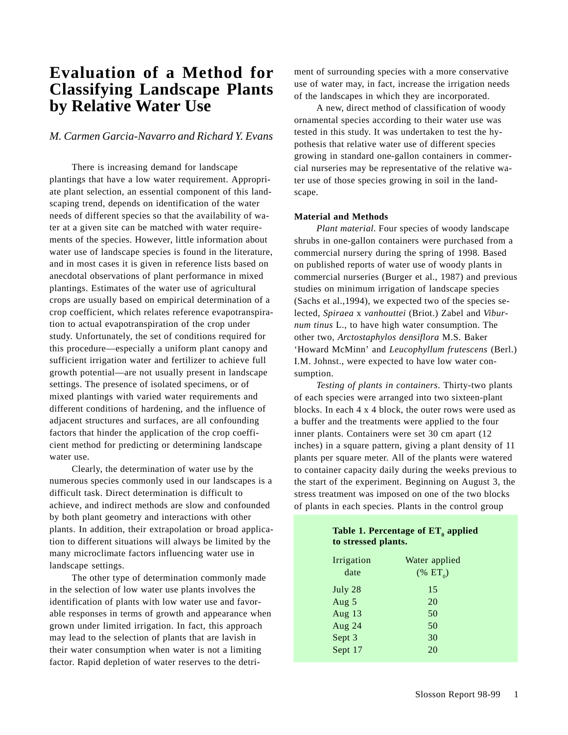# **Evaluation of a Method for Classifying Landscape Plants by Relative Water Use**

## *M. Carmen Garcia-Navarro and Richard Y. Evans*

There is increasing demand for landscape plantings that have a low water requirement. Appropriate plant selection, an essential component of this landscaping trend, depends on identification of the water needs of different species so that the availability of water at a given site can be matched with water requirements of the species. However, little information about water use of landscape species is found in the literature, and in most cases it is given in reference lists based on anecdotal observations of plant performance in mixed plantings. Estimates of the water use of agricultural crops are usually based on empirical determination of a crop coefficient, which relates reference evapotranspiration to actual evapotranspiration of the crop under study. Unfortunately, the set of conditions required for this procedure—especially a uniform plant canopy and sufficient irrigation water and fertilizer to achieve full growth potential—are not usually present in landscape settings. The presence of isolated specimens, or of mixed plantings with varied water requirements and different conditions of hardening, and the influence of adjacent structures and surfaces, are all confounding factors that hinder the application of the crop coefficient method for predicting or determining landscape water use.

Clearly, the determination of water use by the numerous species commonly used in our landscapes is a difficult task. Direct determination is difficult to achieve, and indirect methods are slow and confounded by both plant geometry and interactions with other plants. In addition, their extrapolation or broad application to different situations will always be limited by the many microclimate factors influencing water use in landscape settings.

The other type of determination commonly made in the selection of low water use plants involves the identification of plants with low water use and favorable responses in terms of growth and appearance when grown under limited irrigation. In fact, this approach may lead to the selection of plants that are lavish in their water consumption when water is not a limiting factor. Rapid depletion of water reserves to the detriment of surrounding species with a more conservative use of water may, in fact, increase the irrigation needs of the landscapes in which they are incorporated.

A new, direct method of classification of woody ornamental species according to their water use was tested in this study. It was undertaken to test the hypothesis that relative water use of different species growing in standard one-gallon containers in commercial nurseries may be representative of the relative water use of those species growing in soil in the landscape.

### **Material and Methods**

*Plant material*. Four species of woody landscape shrubs in one-gallon containers were purchased from a commercial nursery during the spring of 1998. Based on published reports of water use of woody plants in commercial nurseries (Burger et al., 1987) and previous studies on minimum irrigation of landscape species (Sachs et al.,1994), we expected two of the species selected, *Spiraea* x *vanhouttei* (Briot.) Zabel and *Viburnum tinus* L., to have high water consumption. The other two, *Arctostaphylos densiflora* M.S. Baker 'Howard McMinn' and *Leucophyllum frutescens* (Berl.) I.M. Johnst., were expected to have low water consumption.

*Testing of plants in containers*. Thirty-two plants of each species were arranged into two sixteen-plant blocks. In each 4 x 4 block, the outer rows were used as a buffer and the treatments were applied to the four inner plants. Containers were set 30 cm apart (12 inches) in a square pattern, giving a plant density of 11 plants per square meter. All of the plants were watered to container capacity daily during the weeks previous to the start of the experiment. Beginning on August 3, the stress treatment was imposed on one of the two blocks of plants in each species. Plants in the control group

| Table 1. Percentage of $ET_a$ applied |  |  |
|---------------------------------------|--|--|
| to stressed plants.                   |  |  |

| Irrigation | Water applied   |
|------------|-----------------|
| date       | $(\% \ ET_{0})$ |
| July 28    | 15              |
| Aug $5$    | 20              |
| Aug $13$   | 50              |
| Aug 24     | 50              |
| Sept 3     | 30              |
| Sept 17    | 20              |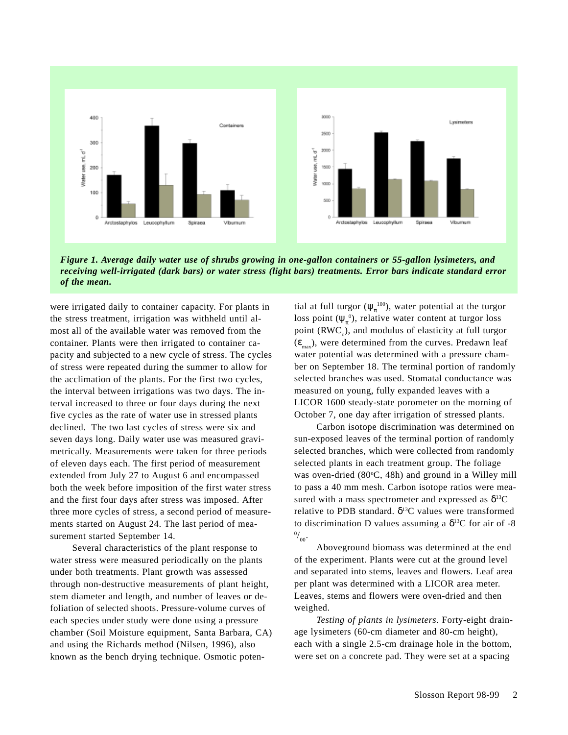

*Figure 1. Average daily water use of shrubs growing in one-gallon containers or 55-gallon lysimeters, and receiving well-irrigated (dark bars) or water stress (light bars) treatments. Error bars indicate standard error of the mean.*

were irrigated daily to container capacity. For plants in the stress treatment, irrigation was withheld until almost all of the available water was removed from the container. Plants were then irrigated to container capacity and subjected to a new cycle of stress. The cycles of stress were repeated during the summer to allow for the acclimation of the plants. For the first two cycles, the interval between irrigations was two days. The interval increased to three or four days during the next five cycles as the rate of water use in stressed plants declined. The two last cycles of stress were six and seven days long. Daily water use was measured gravimetrically. Measurements were taken for three periods of eleven days each. The first period of measurement extended from July 27 to August 6 and encompassed both the week before imposition of the first water stress and the first four days after stress was imposed. After three more cycles of stress, a second period of measurements started on August 24. The last period of measurement started September 14.

Several characteristics of the plant response to water stress were measured periodically on the plants under both treatments. Plant growth was assessed through non-destructive measurements of plant height, stem diameter and length, and number of leaves or defoliation of selected shoots. Pressure-volume curves of each species under study were done using a pressure chamber (Soil Moisture equipment, Santa Barbara, CA) and using the Richards method (Nilsen, 1996), also known as the bench drying technique. Osmotic poten-

tial at full turgor  $(\psi_{\pi}^{\text{100}})$ , water potential at the turgor loss point  $(\psi_{\pi}^0)$ , relative water content at turgor loss point  $(RWC_{o}$ ), and modulus of elasticity at full turgor  $(\epsilon_{\text{max}})$ , were determined from the curves. Predawn leaf water potential was determined with a pressure chamber on September 18. The terminal portion of randomly selected branches was used. Stomatal conductance was measured on young, fully expanded leaves with a LICOR 1600 steady-state porometer on the morning of October 7, one day after irrigation of stressed plants.

Carbon isotope discrimination was determined on sun-exposed leaves of the terminal portion of randomly selected branches, which were collected from randomly selected plants in each treatment group. The foliage was oven-dried (80°C, 48h) and ground in a Willey mill to pass a 40 mm mesh. Carbon isotope ratios were measured with a mass spectrometer and expressed as  $\delta^{13}C$ relative to PDB standard.  $\delta^{13}$ C values were transformed to discrimination D values assuming a  $\delta^{13}$ C for air of -8  $^{0/}_{00}$ .

Aboveground biomass was determined at the end of the experiment. Plants were cut at the ground level and separated into stems, leaves and flowers. Leaf area per plant was determined with a LICOR area meter. Leaves, stems and flowers were oven-dried and then weighed.

*Testing of plants in lysimeters*. Forty-eight drainage lysimeters (60-cm diameter and 80-cm height), each with a single 2.5-cm drainage hole in the bottom, were set on a concrete pad. They were set at a spacing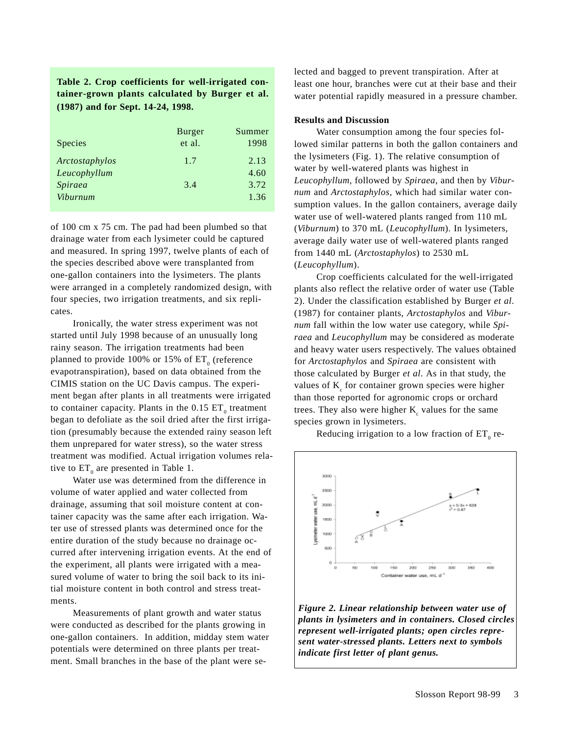**Table 2. Crop coefficients for well-irrigated container-grown plants calculated by Burger et al. (1987) and for Sept. 14-24, 1998.**

| <b>Species</b> | <b>Burger</b><br>et al. | Summer<br>1998 |
|----------------|-------------------------|----------------|
| Arctostaphylos | 1.7                     | 2.13           |
| Leucophyllum   |                         | 4.60           |
| Spiraea        | 3.4                     | 3.72           |
| Viburnum       |                         | 1.36           |

of 100 cm x 75 cm. The pad had been plumbed so that drainage water from each lysimeter could be captured and measured. In spring 1997, twelve plants of each of the species described above were transplanted from one-gallon containers into the lysimeters. The plants were arranged in a completely randomized design, with four species, two irrigation treatments, and six replicates.

Ironically, the water stress experiment was not started until July 1998 because of an unusually long rainy season. The irrigation treatments had been planned to provide 100% or 15% of  $\mathop{\rm ET}\nolimits_0$  (reference evapotranspiration), based on data obtained from the CIMIS station on the UC Davis campus. The experiment began after plants in all treatments were irrigated to container capacity. Plants in the  $0.15$   $ET_{0}$  treatment began to defoliate as the soil dried after the first irrigation (presumably because the extended rainy season left them unprepared for water stress), so the water stress treatment was modified. Actual irrigation volumes relative to  $ET_0$  are presented in Table 1.

Water use was determined from the difference in volume of water applied and water collected from drainage, assuming that soil moisture content at container capacity was the same after each irrigation. Water use of stressed plants was determined once for the entire duration of the study because no drainage occurred after intervening irrigation events. At the end of the experiment, all plants were irrigated with a measured volume of water to bring the soil back to its initial moisture content in both control and stress treatments.

Measurements of plant growth and water status were conducted as described for the plants growing in one-gallon containers. In addition, midday stem water potentials were determined on three plants per treatment. Small branches in the base of the plant were se-

lected and bagged to prevent transpiration. After at least one hour, branches were cut at their base and their water potential rapidly measured in a pressure chamber.

#### **Results and Discussion**

Water consumption among the four species followed similar patterns in both the gallon containers and the lysimeters (Fig. 1). The relative consumption of water by well-watered plants was highest in *Leucophyllum*, followed by *Spiraea*, and then by *Viburnum* and *Arctostaphylos*, which had similar water consumption values. In the gallon containers, average daily water use of well-watered plants ranged from 110 mL (*Viburnum*) to 370 mL (*Leucophyllum*). In lysimeters, average daily water use of well-watered plants ranged from 1440 mL (*Arctostaphylos*) to 2530 mL (*Leucophyllum*).

Crop coefficients calculated for the well-irrigated plants also reflect the relative order of water use (Table 2). Under the classification established by Burger *et al*. (1987) for container plants, *Arctostaphylos* and *Viburnum* fall within the low water use category, while *Spiraea* and *Leucophyllum* may be considered as moderate and heavy water users respectively. The values obtained for *Arctostaphylos* and *Spiraea* are consistent with those calculated by Burger *et al*. As in that study, the values of  $K_c$  for container grown species were higher than those reported for agronomic crops or orchard trees. They also were higher  $K_c$  values for the same species grown in lysimeters.

Reducing irrigation to a low fraction of  $\mathop{\rm ET}\nolimits_0$  re-



*Figure 2. Linear relationship between water use of plants in lysimeters and in containers. Closed circles represent well-irrigated plants; open circles represent water-stressed plants. Letters next to symbols indicate first letter of plant genus.*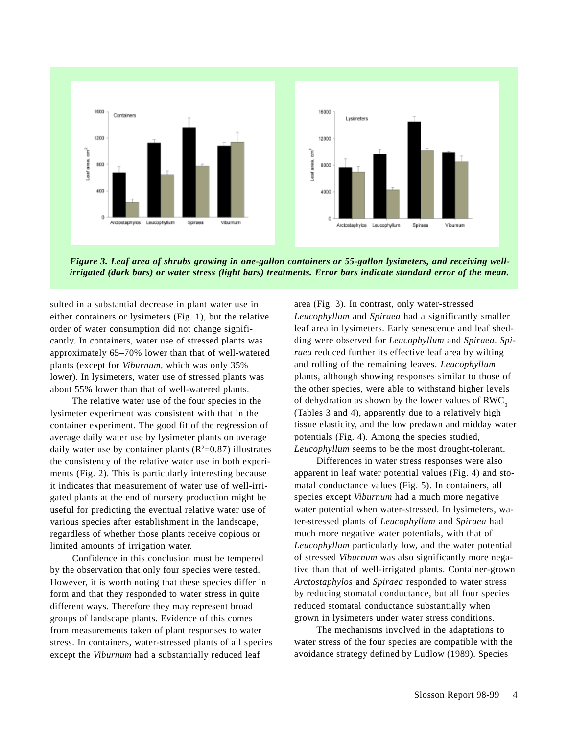

*Figure 3. Leaf area of shrubs growing in one-gallon containers or 55-gallon lysimeters, and receiving wellirrigated (dark bars) or water stress (light bars) treatments. Error bars indicate standard error of the mean.*

sulted in a substantial decrease in plant water use in either containers or lysimeters (Fig. 1), but the relative order of water consumption did not change significantly. In containers, water use of stressed plants was approximately 65–70% lower than that of well-watered plants (except for *Viburnum*, which was only 35% lower). In lysimeters, water use of stressed plants was about 55% lower than that of well-watered plants.

The relative water use of the four species in the lysimeter experiment was consistent with that in the container experiment. The good fit of the regression of average daily water use by lysimeter plants on average daily water use by container plants  $(R^2=0.87)$  illustrates the consistency of the relative water use in both experiments (Fig. 2). This is particularly interesting because it indicates that measurement of water use of well-irrigated plants at the end of nursery production might be useful for predicting the eventual relative water use of various species after establishment in the landscape, regardless of whether those plants receive copious or limited amounts of irrigation water.

Confidence in this conclusion must be tempered by the observation that only four species were tested. However, it is worth noting that these species differ in form and that they responded to water stress in quite different ways. Therefore they may represent broad groups of landscape plants. Evidence of this comes from measurements taken of plant responses to water stress. In containers, water-stressed plants of all species except the *Viburnum* had a substantially reduced leaf

area (Fig. 3). In contrast, only water-stressed *Leucophyllum* and *Spiraea* had a significantly smaller leaf area in lysimeters. Early senescence and leaf shedding were observed for *Leucophyllum* and *Spiraea*. *Spiraea* reduced further its effective leaf area by wilting and rolling of the remaining leaves. *Leucophyllum* plants, although showing responses similar to those of the other species, were able to withstand higher levels of dehydration as shown by the lower values of  $RWC<sub>o</sub>$ (Tables 3 and 4), apparently due to a relatively high tissue elasticity, and the low predawn and midday water potentials (Fig. 4). Among the species studied, *Leucophyllum* seems to be the most drought-tolerant.

Differences in water stress responses were also apparent in leaf water potential values (Fig. 4) and stomatal conductance values (Fig. 5). In containers, all species except *Viburnum* had a much more negative water potential when water-stressed. In lysimeters, water-stressed plants of *Leucophyllum* and *Spiraea* had much more negative water potentials, with that of *Leucophyllum* particularly low, and the water potential of stressed *Viburnum* was also significantly more negative than that of well-irrigated plants. Container-grown *Arctostaphylos* and *Spiraea* responded to water stress by reducing stomatal conductance, but all four species reduced stomatal conductance substantially when grown in lysimeters under water stress conditions.

The mechanisms involved in the adaptations to water stress of the four species are compatible with the avoidance strategy defined by Ludlow (1989). Species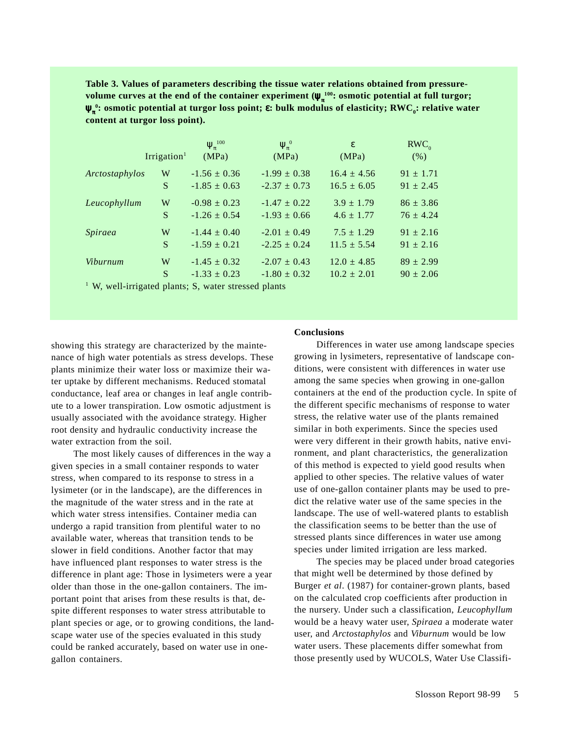**Table 3. Values of parameters describing the tissue water relations obtained from pressurevolume curves at the end of the container experiment (** $\psi_{\pi}^{\ 100}$ **: osmotic potential at full turgor; ψ<sub>π</sub>°:** osmotic potential at turgor loss point; ε: bulk modulus of elasticity; RWC<sub>o</sub>: relative water **content at turgor loss point).**

|                 | Irrigation <sup>1</sup> | $\Psi_x^{100}$<br>(MPa)                                                                                                       | $\Psi_{\pi}^{0}$<br>(MPa) | ε<br>(MPa)      | $RWC_0$<br>(% ) |
|-----------------|-------------------------|-------------------------------------------------------------------------------------------------------------------------------|---------------------------|-----------------|-----------------|
|                 |                         |                                                                                                                               |                           |                 |                 |
| Arctostaphylos  | W                       | $-1.56 \pm 0.36$                                                                                                              | $-1.99 \pm 0.38$          | $16.4 \pm 4.56$ | $91 \pm 1.71$   |
|                 | S                       | $-1.85 \pm 0.63$                                                                                                              | $-2.37 \pm 0.73$          | $16.5 \pm 6.05$ | $91 \pm 2.45$   |
| Leucophyllum    | W                       | $-0.98 \pm 0.23$                                                                                                              | $-1.47 \pm 0.22$          | $3.9 \pm 1.79$  | $86 \pm 3.86$   |
|                 | S                       | $-1.26 \pm 0.54$                                                                                                              | $-1.93 \pm 0.66$          | $4.6 \pm 1.77$  | $76 \pm 4.24$   |
| Spiraea         | W                       | $-1.44 \pm 0.40$                                                                                                              | $-2.01 \pm 0.49$          | $7.5 \pm 1.29$  | $91 \pm 2.16$   |
|                 | S                       | $-1.59 \pm 0.21$                                                                                                              | $-2.25 \pm 0.24$          | $11.5 \pm 5.54$ | $91 \pm 2.16$   |
| <i>Viburnum</i> | W                       | $-1.45 \pm 0.32$                                                                                                              | $-2.07 \pm 0.43$          | $12.0 \pm 4.85$ | $89 \pm 2.99$   |
|                 | S                       | $-1.33 \pm 0.23$                                                                                                              | $-1.80 \pm 0.32$          | $10.2 \pm 2.01$ | $90 \pm 2.06$   |
| $1$ VV $7$      |                         | $\frac{1}{2}$ 1 $\frac{1}{2}$ 1 $\frac{1}{2}$ 1 $\frac{1}{2}$ 1 $\frac{1}{2}$ 1 $\frac{1}{2}$ 1 $\frac{1}{2}$ 1 $\frac{1}{2}$ |                           |                 |                 |

<sup>1</sup> W, well-irrigated plants; S, water stressed plants

showing this strategy are characterized by the maintenance of high water potentials as stress develops. These plants minimize their water loss or maximize their water uptake by different mechanisms. Reduced stomatal conductance, leaf area or changes in leaf angle contribute to a lower transpiration. Low osmotic adjustment is usually associated with the avoidance strategy. Higher root density and hydraulic conductivity increase the water extraction from the soil.

The most likely causes of differences in the way a given species in a small container responds to water stress, when compared to its response to stress in a lysimeter (or in the landscape), are the differences in the magnitude of the water stress and in the rate at which water stress intensifies. Container media can undergo a rapid transition from plentiful water to no available water, whereas that transition tends to be slower in field conditions. Another factor that may have influenced plant responses to water stress is the difference in plant age: Those in lysimeters were a year older than those in the one-gallon containers. The important point that arises from these results is that, despite different responses to water stress attributable to plant species or age, or to growing conditions, the landscape water use of the species evaluated in this study could be ranked accurately, based on water use in onegallon containers.

#### **Conclusions**

Differences in water use among landscape species growing in lysimeters, representative of landscape conditions, were consistent with differences in water use among the same species when growing in one-gallon containers at the end of the production cycle. In spite of the different specific mechanisms of response to water stress, the relative water use of the plants remained similar in both experiments. Since the species used were very different in their growth habits, native environment, and plant characteristics, the generalization of this method is expected to yield good results when applied to other species. The relative values of water use of one-gallon container plants may be used to predict the relative water use of the same species in the landscape. The use of well-watered plants to establish the classification seems to be better than the use of stressed plants since differences in water use among species under limited irrigation are less marked.

The species may be placed under broad categories that might well be determined by those defined by Burger *et al*. (1987) for container-grown plants, based on the calculated crop coefficients after production in the nursery. Under such a classification, *Leucophyllum* would be a heavy water user, *Spiraea* a moderate water user, and *Arctostaphylos* and *Viburnum* would be low water users. These placements differ somewhat from those presently used by WUCOLS, Water Use Classifi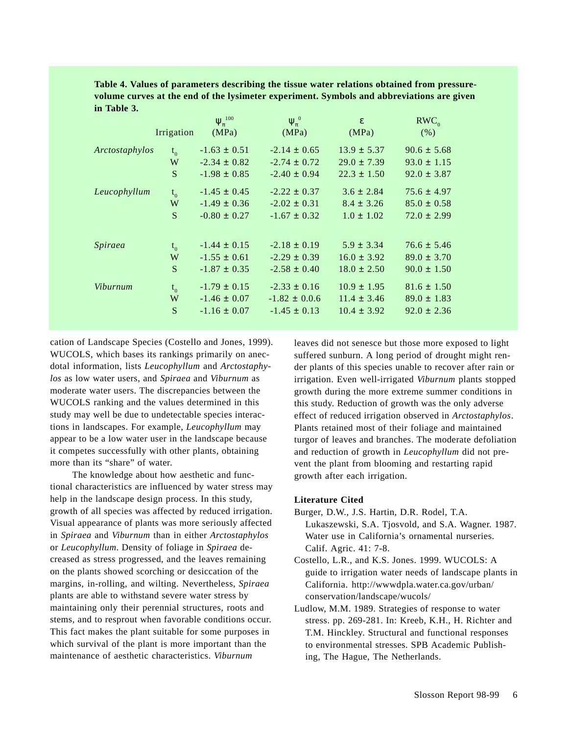**Table 4. Values of parameters describing the tissue water relations obtained from pressurevolume curves at the end of the lysimeter experiment. Symbols and abbreviations are given in Table 3.**

|                 |                | $\Psi_{\pi}^{100}$ | $\Psi_{\pi}^{0}$ | $\varepsilon$   | $RWC_0$         |
|-----------------|----------------|--------------------|------------------|-----------------|-----------------|
|                 | Irrigation     | (MPa)              | (MPa)            | (MPa)           | (% )            |
| Arctostaphylos  | $t_{0}$        | $-1.63 \pm 0.51$   | $-2.14 \pm 0.65$ | $13.9 \pm 5.37$ | $90.6 \pm 5.68$ |
|                 | W              | $-2.34 \pm 0.82$   | $-2.74 \pm 0.72$ | $29.0 \pm 7.39$ | $93.0 \pm 1.15$ |
|                 | S              | $-1.98 \pm 0.85$   | $-2.40 \pm 0.94$ | $22.3 \pm 1.50$ | $92.0 \pm 3.87$ |
| Leucophyllum    | t <sub>0</sub> | $-1.45 \pm 0.45$   | $-2.22 \pm 0.37$ | $3.6 \pm 2.84$  | $75.6 \pm 4.97$ |
|                 | W              | $-1.49 \pm 0.36$   | $-2.02 \pm 0.31$ | $8.4 \pm 3.26$  | $85.0 \pm 0.58$ |
|                 | S              | $-0.80 \pm 0.27$   | $-1.67 \pm 0.32$ | $1.0 \pm 1.02$  | $72.0 \pm 2.99$ |
| Spiraea         | $t_{0}$        | $-1.44 \pm 0.15$   | $-2.18 \pm 0.19$ | $5.9 \pm 3.34$  | $76.6 \pm 5.46$ |
|                 | W              | $-1.55 \pm 0.61$   | $-2.29 \pm 0.39$ | $16.0 \pm 3.92$ | $89.0 \pm 3.70$ |
|                 | S              | $-1.87 \pm 0.35$   | $-2.58 \pm 0.40$ | $18.0 \pm 2.50$ | $90.0 \pm 1.50$ |
| <b>Viburnum</b> | $t_{0}$        | $-1.79 \pm 0.15$   | $-2.33 \pm 0.16$ | $10.9 \pm 1.95$ | $81.6 \pm 1.50$ |
|                 | W              | $-1.46 \pm 0.07$   | $-1.82 \pm 0.06$ | $11.4 \pm 3.46$ | $89.0 \pm 1.83$ |
|                 | S              | $-1.16 \pm 0.07$   | $-1.45 \pm 0.13$ | $10.4 \pm 3.92$ | $92.0 \pm 2.36$ |

cation of Landscape Species (Costello and Jones, 1999). WUCOLS, which bases its rankings primarily on anecdotal information, lists *Leucophyllum* and *Arctostaphylos* as low water users, and *Spiraea* and *Viburnum* as moderate water users. The discrepancies between the WUCOLS ranking and the values determined in this study may well be due to undetectable species interactions in landscapes. For example, *Leucophyllum* may appear to be a low water user in the landscape because it competes successfully with other plants, obtaining more than its "share" of water.

The knowledge about how aesthetic and functional characteristics are influenced by water stress may help in the landscape design process. In this study, growth of all species was affected by reduced irrigation. Visual appearance of plants was more seriously affected in *Spiraea* and *Viburnum* than in either *Arctostaphylos* or *Leucophyllum*. Density of foliage in *Spiraea* decreased as stress progressed, and the leaves remaining on the plants showed scorching or desiccation of the margins, in-rolling, and wilting. Nevertheless, *Spiraea* plants are able to withstand severe water stress by maintaining only their perennial structures, roots and stems, and to resprout when favorable conditions occur. This fact makes the plant suitable for some purposes in which survival of the plant is more important than the maintenance of aesthetic characteristics. *Viburnum*

leaves did not senesce but those more exposed to light suffered sunburn. A long period of drought might render plants of this species unable to recover after rain or irrigation. Even well-irrigated *Viburnum* plants stopped growth during the more extreme summer conditions in this study. Reduction of growth was the only adverse effect of reduced irrigation observed in *Arctostaphylos*. Plants retained most of their foliage and maintained turgor of leaves and branches. The moderate defoliation and reduction of growth in *Leucophyllum* did not prevent the plant from blooming and restarting rapid growth after each irrigation.

## **Literature Cited**

- Burger, D.W., J.S. Hartin, D.R. Rodel, T.A. Lukaszewski, S.A. Tjosvold, and S.A. Wagner. 1987. Water use in California's ornamental nurseries. Calif. Agric. 41: 7-8.
- Costello, L.R., and K.S. Jones. 1999. WUCOLS: A guide to irrigation water needs of landscape plants in California. http://wwwdpla.water.ca.gov/urban/ conservation/landscape/wucols/
- Ludlow, M.M. 1989. Strategies of response to water stress. pp. 269-281. In: Kreeb, K.H., H. Richter and T.M. Hinckley. Structural and functional responses to environmental stresses. SPB Academic Publishing, The Hague, The Netherlands.